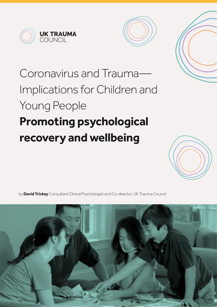



# Coronavirus and Trauma— Implications for Children and Young People **Promoting psychological recovery and wellbeing**



by **David Trickey** Consultant Clinical Psychologist and Co-director, UK Trauma Council

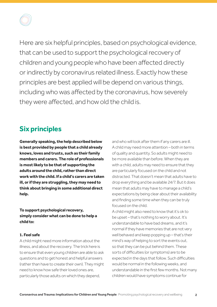

Here are six helpful principles, based on psychological evidence, that can be used to support the psychological recovery of children and young people who have been affected directly or indirectly by coronavirus related illness. Exactly how these principles are best applied will be depend on various things, including who was affected by the coronavirus, how severely they were affected, and how old the child is.

### **Six principles**

**Generally speaking, the help described below is best provided by people that a child already knows, loves and trusts, such as their family members and carers. The role of professionals is most likely to be that of supporting the adults around the child, rather than direct work with the child. If a child's carers are taken ill, or if they are struggling, they may need to think about bringing in some additional direct help.**

**To support psychological recovery, simply consider what can be done to help a child to:**

### **1. Feel safe**

A child might need more information about the illness, and about the recovery. The trick here is to ensure that even young children are able to ask questions and to get honest and helpful answers (rather than have to create their own). They might need to know how safe their loved ones are particularly those adults on which they depend,

and who will look after them if any carers are ill. A child may need more attention – both in terms of quality and quantity. So adults might need to be more available than before. When they are with a child, adults may need to ensure that they are particularly focused on the child and not distracted. That doesn't mean that adults have to drop everything and be available 24/7. But it does mean that adults may have to manage a child's expectations by being clear about their availability and finding some time when they can be truly focused on the child.

A child might also need to know that it's ok to be upset – that's nothing to worry about. It's understandable to have bad dreams, and it's normal if they have memories that are not very well behaved and keep popping up – that's their mind's way of helping to sort the events out, so that they can be put behind them. These sorts of difficulties (or symptoms) are to be expected in the days that follow. Such difficulties would be normal in the following weeks, and understandable in the first few months. Not many children would have symptoms continue for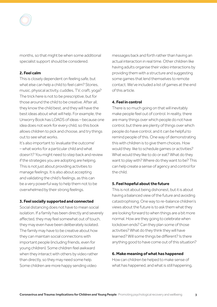

months, so that might be when some additional specialist support should be considered.

### **2. Feel calm**

This is closely dependent on feeling safe, but what else can help a child to feel calm? Stories, music, physical activity, cuddles, TV, craft, yoga? The trick here is not to be prescriptive, but for those around the child to be creative. After all, they know the child best, and they will have the best ideas about what will help. For example, the Unworry Book has LOADS of ideas – because one idea does not work for every child, so this book allows children to pick and choose, and try things out to see what works.

It's also important to 'evaluate the outcome' – what works for a particular child and what doesn't? You might need to step back and review if the strategies you are adopting are helping. This is not just about providing activities to manage feelings. It is also about accepting and validating the child's feelings, as this can be a very powerful way to help them not to be overwhelmed by their strong feelings.

#### **3. Feel socially supported and connected**

Social distancing does not have to mean social isolation. If a family has been directly and severely affected, they may feel somewhat out of touch, they may even have been deliberately isolated. The family may have to be creative about how they can maintain social connections with important people (including friends, even for young children). Some children feel awkward when they interact with others by video rather than directly, so they may need some help. Some children are more happy sending video

messages back and forth rather than having an actual interaction in real time. Other children like having adults organise their video interactions by providing them with a structure and suggesting some games that lend themselves to remote contact. We've included a list of games at the end of this article.

### **4. Feel in control**

There is so much going on that will inevitably make people feel out of control. In reality, there are many things over which people do not have control, but there are plenty of things over which people do have control, and it can be helpful to remind people of this. One way of demonstrating this with children is to give them choices. How would they like to schedule games or activities? What would they like to do or eat? What do they want to play with? Where do they want to be? This can help create a sense of agency and control for the child.

### **5. Feel hopeful about the future**

This is not about being dishonest, but it is about having a balanced view of the future and avoiding catastrophising. One way to re-balance children's views about the future is to ask them what they are looking forward to when things are a bit more normal. How are they going to celebrate when lockdown ends? Can they plan some of those activities? What do they think they will have learned? Will some things be different? Is there anything good to have come out of this situation?

### **6. Make meaning of what has happened**

How can children be helped to make sense of what has happened, and what is still happening,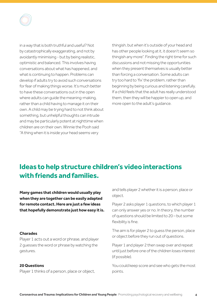

in a way that is both truthful and useful? Not by catastrophically exaggerating, and not by avoidantly minimising - but by being realistic, optimistic and balanced. This involves having conversations about what has happened, and what is continuing to happen. Problems can develop if adults try to avoid such conversations for fear of making things worse. It's much better to have these conversations out in the open where adults can guide the meaning-making, rather than a child having to manage it on their own. A child may be trying hard to not think about something, but unhelpful thoughts can intrude and may be particularly potent at nighttime when children are on their own. Winnie the Pooh said "A thing when it is inside your head seems very

thingish, but when it's outside of your head and has other people looking at it, it doesn't seem so thingish any more". Finding the right time for such discussions and not missing the opportunities when they present themselves is usually better than forcing a conversation. Some adults can try too hard to 'fix' the problem, rather than beginning by being curious and listening carefully. If a child feels that the adult has really understood them, then they will be happier to open up, and more open to the adult's guidance.

### **Ideas to help structure children's video interactions with friends and families.**

**Many games that children would usually play when they are together can be easily adapted for remote contact. Here are just a few ideas that hopefully demonstrate just how easy it is.**

### **Charades**

Player 1 acts out a word or phrase, and player 2 guesses the word or phrase by watching the gestures.

### **20 Questions**

Player 1 thinks of a person, place or object,

and tells player 2 whether it is a person, place or object.

Player 2 asks player 1 questions, to which player 1 can only answer yes or no. In theory, the number of questions should be limited to 20 – but some flexibility is fine.

The aim is for player 2 to guess the person, place or object before they run out of questions.

Player 1 and player 2 then swap over and repeat until just before one of the children loses interest (if possible).

You could keep score and see who gets the most points.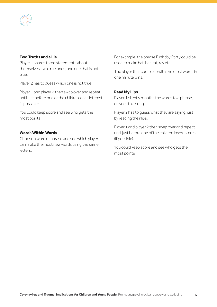### **Two Truths and a Lie**

Player 1 shares three statements about themselves: two true ones, and one that is not true.

Player 2 has to guess which one is not true

Player 1 and player 2 then swap over and repeat until just before one of the children loses interest (if possible).

You could keep score and see who gets the most points.

### **Words Within Words**

Choose a word or phrase and see which player can make the most new words using the same letters.

For example, the phrase Birthday Party could be used to make hat, bat, rat, ray etc.

The player that comes up with the most words in one minute wins.

### **Read My Lips**

Player 1 silently mouths the words to a phrase, or lyrics to a song.

Player 2 has to guess what they are saying, just by reading their lips.

Player 1 and player 2 then swap over and repeat until just before one of the children loses interest (if possible).

You could keep score and see who gets the most points